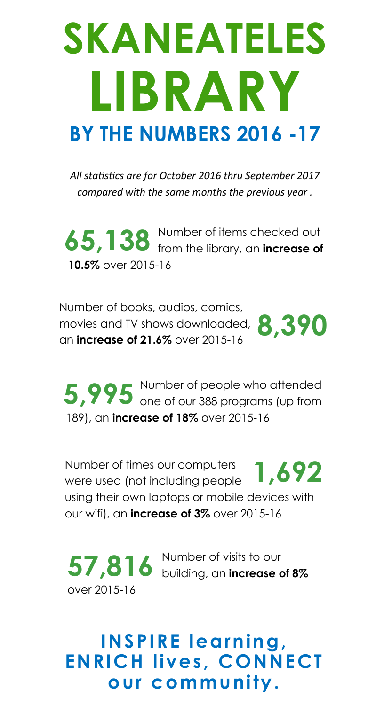## **SKANEATELES LIBRARY BY THE NUMBERS 2016 -17**

*All statistics are for October 2016 thru September 2017 compared with the same months the previous year .*

Number of items checked out **65,138** Number of items checked out **65,138** from the library, an **increase of 10.5%** over 2015-16

Number of books, audios, comics, movies and TV shows downloaded, **8,390** an **increase of 21.6%** over 2015-16

Number of people who attended **5,995** Number of people who attended one of our 388 programs (up from 189), an **increase of 18%** over 2015-16

Number of times our computers Number of times our computers **1,692**<br>were used (not including people **1,692** using their own laptops or mobile devices with our wifi), an **increase of 3%** over 2015-16

Number of visits to our  $57,816$  <sup>Number of visits to our **building**, an **increase of 8%**</sup> over 2015-16

**INSPIRE learning, ENRICH lives, CONNECT our community.**